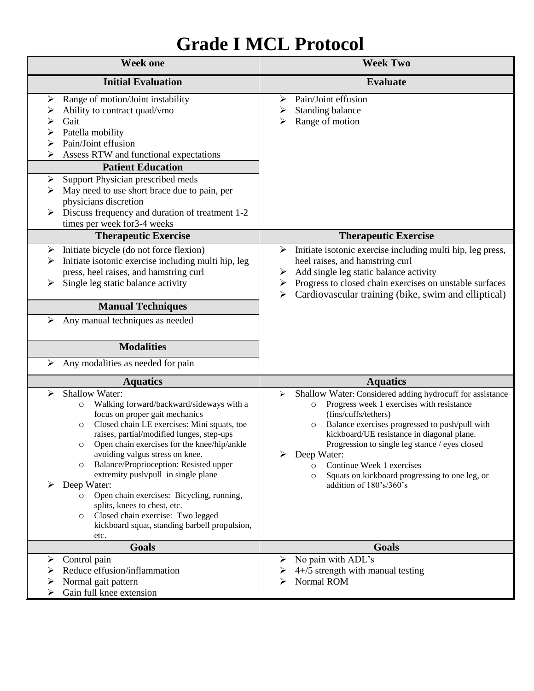# **Grade I MCL Protocol**

| <b>Week one</b>                                                                                                                                                                                                                                                                                                                                                                                                                                                                                                                                                                                                  | <b>Week Two</b>                                                                                                                                                                                                                                                                                                                                                                                                                                      |
|------------------------------------------------------------------------------------------------------------------------------------------------------------------------------------------------------------------------------------------------------------------------------------------------------------------------------------------------------------------------------------------------------------------------------------------------------------------------------------------------------------------------------------------------------------------------------------------------------------------|------------------------------------------------------------------------------------------------------------------------------------------------------------------------------------------------------------------------------------------------------------------------------------------------------------------------------------------------------------------------------------------------------------------------------------------------------|
| <b>Initial Evaluation</b>                                                                                                                                                                                                                                                                                                                                                                                                                                                                                                                                                                                        | <b>Evaluate</b>                                                                                                                                                                                                                                                                                                                                                                                                                                      |
| Range of motion/Joint instability<br>➤<br>Ability to contract quad/vmo<br>Gait<br>➤<br>Patella mobility<br>➤<br>Pain/Joint effusion<br>⋗<br>Assess RTW and functional expectations<br><b>Patient Education</b><br>Support Physician prescribed meds<br>➤<br>May need to use short brace due to pain, per<br>➤<br>physicians discretion<br>Discuss frequency and duration of treatment 1-2<br>times per week for 3-4 weeks<br><b>Therapeutic Exercise</b>                                                                                                                                                         | Pain/Joint effusion<br>➤<br>Standing balance<br>➤<br>Range of motion<br>⋗<br><b>Therapeutic Exercise</b>                                                                                                                                                                                                                                                                                                                                             |
| Initiate bicycle (do not force flexion)<br>➤                                                                                                                                                                                                                                                                                                                                                                                                                                                                                                                                                                     | Initiate isotonic exercise including multi hip, leg press,<br>➤                                                                                                                                                                                                                                                                                                                                                                                      |
| Initiate isotonic exercise including multi hip, leg<br>➤<br>press, heel raises, and hamstring curl<br>Single leg static balance activity<br>➤<br><b>Manual Techniques</b>                                                                                                                                                                                                                                                                                                                                                                                                                                        | heel raises, and hamstring curl<br>Add single leg static balance activity<br>➤<br>Progress to closed chain exercises on unstable surfaces<br>➤<br>Cardiovascular training (bike, swim and elliptical)<br>➤                                                                                                                                                                                                                                           |
| Any manual techniques as needed<br>➤                                                                                                                                                                                                                                                                                                                                                                                                                                                                                                                                                                             |                                                                                                                                                                                                                                                                                                                                                                                                                                                      |
| <b>Modalities</b>                                                                                                                                                                                                                                                                                                                                                                                                                                                                                                                                                                                                |                                                                                                                                                                                                                                                                                                                                                                                                                                                      |
| Any modalities as needed for pain<br>➤                                                                                                                                                                                                                                                                                                                                                                                                                                                                                                                                                                           |                                                                                                                                                                                                                                                                                                                                                                                                                                                      |
| <b>Aquatics</b>                                                                                                                                                                                                                                                                                                                                                                                                                                                                                                                                                                                                  | <b>Aquatics</b>                                                                                                                                                                                                                                                                                                                                                                                                                                      |
| Shallow Water:<br>➤<br>Walking forward/backward/sideways with a<br>$\circ$<br>focus on proper gait mechanics<br>Closed chain LE exercises: Mini squats, toe<br>$\circ$<br>raises, partial/modified lunges, step-ups<br>Open chain exercises for the knee/hip/ankle<br>O<br>avoiding valgus stress on knee.<br>Balance/Proprioception: Resisted upper<br>$\circ$<br>extremity push/pull in single plane<br>Deep Water:<br>Open chain exercises: Bicycling, running,<br>$\circ$<br>splits, knees to chest, etc.<br>Closed chain exercise: Two legged<br>O<br>kickboard squat, standing barbell propulsion,<br>etc. | Shallow Water: Considered adding hydrocuff for assistance<br>➤<br>Progress week 1 exercises with resistance<br>$\circ$<br>(fins/cuffs/tethers)<br>Balance exercises progressed to push/pull with<br>$\circ$<br>kickboard/UE resistance in diagonal plane.<br>Progression to single leg stance / eyes closed<br>Deep Water:<br>Continue Week 1 exercises<br>$\circ$<br>Squats on kickboard progressing to one leg, or<br>O<br>addition of 180's/360's |
| Goals                                                                                                                                                                                                                                                                                                                                                                                                                                                                                                                                                                                                            | Goals                                                                                                                                                                                                                                                                                                                                                                                                                                                |
| Control pain<br>Reduce effusion/inflammation<br>Normal gait pattern<br>Gain full knee extension                                                                                                                                                                                                                                                                                                                                                                                                                                                                                                                  | No pain with ADL's<br>$4+/5$ strength with manual testing<br>Normal ROM<br>⋗                                                                                                                                                                                                                                                                                                                                                                         |